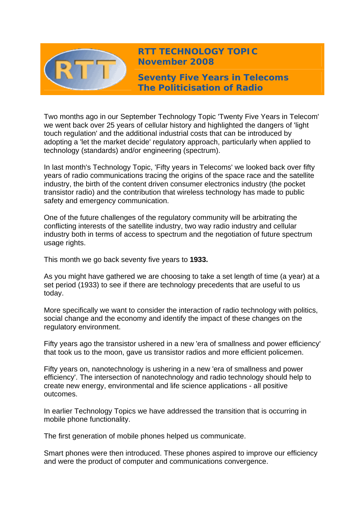

**RTT TECHNOLOGY TOPIC November 2008**

**Seventy Five Years in Telecoms The Politicisation of Radio** 

Two months ago in our September Technology Topic 'Twenty Five Years in Telecom' we went back over 25 years of cellular history and highlighted the dangers of 'light touch regulation' and the additional industrial costs that can be introduced by adopting a 'let the market decide' regulatory approach, particularly when applied to technology (standards) and/or engineering (spectrum).

In last month's Technology Topic, 'Fifty years in Telecoms' we looked back over fifty years of radio communications tracing the origins of the space race and the satellite industry, the birth of the content driven consumer electronics industry (the pocket transistor radio) and the contribution that wireless technology has made to public safety and emergency communication.

One of the future challenges of the regulatory community will be arbitrating the conflicting interests of the satellite industry, two way radio industry and cellular industry both in terms of access to spectrum and the negotiation of future spectrum usage rights.

This month we go back seventy five years to **1933.**

As you might have gathered we are choosing to take a set length of time (a year) at a set period (1933) to see if there are technology precedents that are useful to us today.

More specifically we want to consider the interaction of radio technology with politics, social change and the economy and identify the impact of these changes on the regulatory environment.

Fifty years ago the transistor ushered in a new 'era of smallness and power efficiency' that took us to the moon, gave us transistor radios and more efficient policemen.

Fifty years on, nanotechnology is ushering in a new 'era of smallness and power efficiency'. The intersection of nanotechnology and radio technology should help to create new energy, environmental and life science applications - all positive outcomes.

In earlier Technology Topics we have addressed the transition that is occurring in mobile phone functionality.

The first generation of mobile phones helped us communicate.

Smart phones were then introduced. These phones aspired to improve our efficiency and were the product of computer and communications convergence.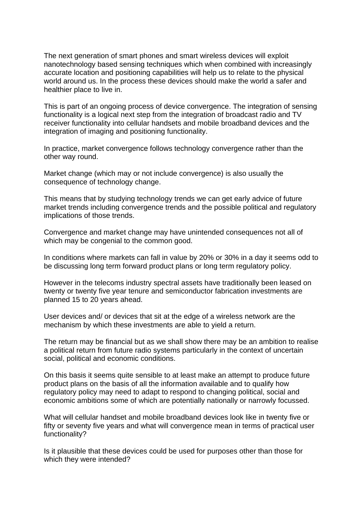The next generation of smart phones and smart wireless devices will exploit nanotechnology based sensing techniques which when combined with increasingly accurate location and positioning capabilities will help us to relate to the physical world around us. In the process these devices should make the world a safer and healthier place to live in.

This is part of an ongoing process of device convergence. The integration of sensing functionality is a logical next step from the integration of broadcast radio and TV receiver functionality into cellular handsets and mobile broadband devices and the integration of imaging and positioning functionality.

In practice, market convergence follows technology convergence rather than the other way round.

Market change (which may or not include convergence) is also usually the consequence of technology change.

This means that by studying technology trends we can get early advice of future market trends including convergence trends and the possible political and regulatory implications of those trends.

Convergence and market change may have unintended consequences not all of which may be congenial to the common good.

In conditions where markets can fall in value by 20% or 30% in a day it seems odd to be discussing long term forward product plans or long term regulatory policy.

However in the telecoms industry spectral assets have traditionally been leased on twenty or twenty five year tenure and semiconductor fabrication investments are planned 15 to 20 years ahead.

User devices and/ or devices that sit at the edge of a wireless network are the mechanism by which these investments are able to yield a return.

The return may be financial but as we shall show there may be an ambition to realise a political return from future radio systems particularly in the context of uncertain social, political and economic conditions.

On this basis it seems quite sensible to at least make an attempt to produce future product plans on the basis of all the information available and to qualify how regulatory policy may need to adapt to respond to changing political, social and economic ambitions some of which are potentially nationally or narrowly focussed.

What will cellular handset and mobile broadband devices look like in twenty five or fifty or seventy five years and what will convergence mean in terms of practical user functionality?

Is it plausible that these devices could be used for purposes other than those for which they were intended?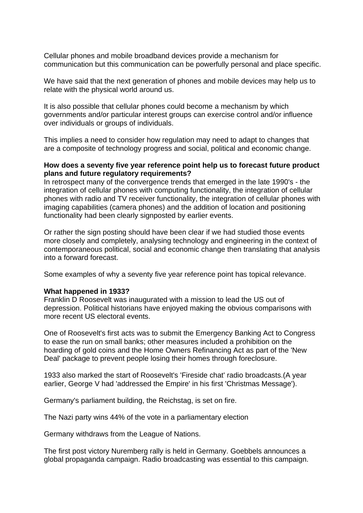Cellular phones and mobile broadband devices provide a mechanism for communication but this communication can be powerfully personal and place specific.

We have said that the next generation of phones and mobile devices may help us to relate with the physical world around us.

It is also possible that cellular phones could become a mechanism by which governments and/or particular interest groups can exercise control and/or influence over individuals or groups of individuals.

This implies a need to consider how regulation may need to adapt to changes that are a composite of technology progress and social, political and economic change.

## **How does a seventy five year reference point help us to forecast future product plans and future regulatory requirements?**

In retrospect many of the convergence trends that emerged in the late 1990's - the integration of cellular phones with computing functionality, the integration of cellular phones with radio and TV receiver functionality, the integration of cellular phones with imaging capabilities (camera phones) and the addition of location and positioning functionality had been clearly signposted by earlier events.

Or rather the sign posting should have been clear if we had studied those events more closely and completely, analysing technology and engineering in the context of contemporaneous political, social and economic change then translating that analysis into a forward forecast.

Some examples of why a seventy five year reference point has topical relevance.

## **What happened in 1933?**

Franklin D Roosevelt was inaugurated with a mission to lead the US out of depression. Political historians have enjoyed making the obvious comparisons with more recent US electoral events.

One of Roosevelt's first acts was to submit the Emergency Banking Act to Congress to ease the run on small banks; other measures included a prohibition on the hoarding of gold coins and the Home Owners Refinancing Act as part of the 'New Deal' package to prevent people losing their homes through foreclosure.

1933 also marked the start of Roosevelt's 'Fireside chat' radio broadcasts.(A year earlier, George V had 'addressed the Empire' in his first 'Christmas Message').

Germany's parliament building, the Reichstag, is set on fire.

The Nazi party wins 44% of the vote in a parliamentary election

Germany withdraws from the League of Nations.

The first post victory Nuremberg rally is held in Germany. Goebbels announces a global propaganda campaign. Radio broadcasting was essential to this campaign.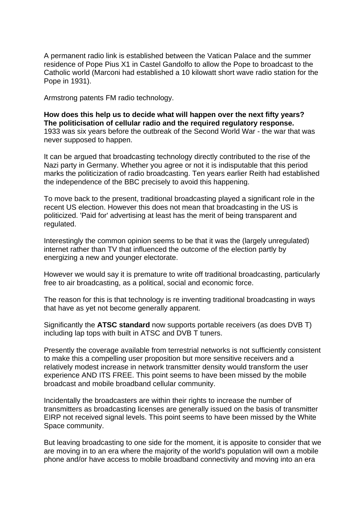A permanent radio link is established between the Vatican Palace and the summer residence of Pope Pius X1 in Castel Gandolfo to allow the Pope to broadcast to the Catholic world (Marconi had established a 10 kilowatt short wave radio station for the Pope in 1931).

Armstrong patents FM radio technology.

**How does this help us to decide what will happen over the next fifty years? The politicisation of cellular radio and the required regulatory response.**  1933 was six years before the outbreak of the Second World War - the war that was never supposed to happen.

It can be argued that broadcasting technology directly contributed to the rise of the Nazi party in Germany. Whether you agree or not it is indisputable that this period marks the politicization of radio broadcasting. Ten years earlier Reith had established the independence of the BBC precisely to avoid this happening.

To move back to the present, traditional broadcasting played a significant role in the recent US election. However this does not mean that broadcasting in the US is politicized. 'Paid for' advertising at least has the merit of being transparent and regulated.

Interestingly the common opinion seems to be that it was the (largely unregulated) internet rather than TV that influenced the outcome of the election partly by energizing a new and younger electorate.

However we would say it is premature to write off traditional broadcasting, particularly free to air broadcasting, as a political, social and economic force.

The reason for this is that technology is re inventing traditional broadcasting in ways that have as yet not become generally apparent.

Significantly the **ATSC standard** now supports portable receivers (as does DVB T) including lap tops with built in ATSC and DVB T tuners.

Presently the coverage available from terrestrial networks is not sufficiently consistent to make this a compelling user proposition but more sensitive receivers and a relatively modest increase in network transmitter density would transform the user experience AND ITS FREE. This point seems to have been missed by the mobile broadcast and mobile broadband cellular community.

Incidentally the broadcasters are within their rights to increase the number of transmitters as broadcasting licenses are generally issued on the basis of transmitter EIRP not received signal levels. This point seems to have been missed by the White Space community.

But leaving broadcasting to one side for the moment, it is apposite to consider that we are moving in to an era where the majority of the world's population will own a mobile phone and/or have access to mobile broadband connectivity and moving into an era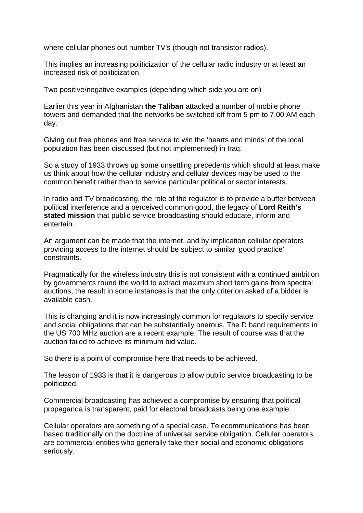where cellular phones out number TV's (though not transistor radios).

This implies an increasing politicization of the cellular radio industry or at least an increased risk of politicization.

Two positive/negative examples (depending which side you are on)

Earlier this year in Afghanistan **the Taliban** attacked a number of mobile phone towers and demanded that the networks be switched off from 5 pm to 7.00 AM each day.

Giving out free phones and free service to win the 'hearts and minds' of the local population has been discussed (but not implemented) in Iraq.

So a study of 1933 throws up some unsettling precedents which should at least make us think about how the cellular industry and cellular devices may be used to the common benefit rather than to service particular political or sector interests.

In radio and TV broadcasting, the role of the regulator is to provide a buffer between political interference and a perceived common good, the legacy of **Lord Reith's stated mission** that public service broadcasting should educate, inform and entertain.

An argument can be made that the internet, and by implication cellular operators providing access to the internet should be subject to similar 'good practice' constraints.

Pragmatically for the wireless industry this is not consistent with a continued ambition by governments round the world to extract maximum short term gains from spectral auctions; the result in some instances is that the only criterion asked of a bidder is available cash.

This is changing and it is now increasingly common for regulators to specify service and social obligations that can be substantially onerous. The D band requirements in the US 700 MHz auction are a recent example. The result of course was that the auction failed to achieve its minimum bid value.

So there is a point of compromise here that needs to be achieved.

The lesson of 1933 is that it is dangerous to allow public service broadcasting to be politicized.

Commercial broadcasting has achieved a compromise by ensuring that political propaganda is transparent, paid for electoral broadcasts being one example.

Cellular operators are something of a special case. Telecommunications has been based traditionally on the doctrine of universal service obligation. Cellular operators are commercial entities who generally take their social and economic obligations seriously.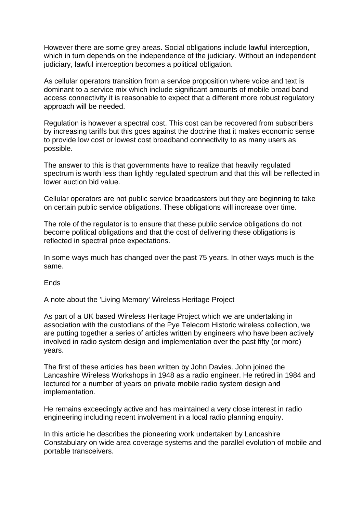However there are some grey areas. Social obligations include lawful interception, which in turn depends on the independence of the judiciary. Without an independent judiciary, lawful interception becomes a political obligation.

As cellular operators transition from a service proposition where voice and text is dominant to a service mix which include significant amounts of mobile broad band access connectivity it is reasonable to expect that a different more robust regulatory approach will be needed.

Regulation is however a spectral cost. This cost can be recovered from subscribers by increasing tariffs but this goes against the doctrine that it makes economic sense to provide low cost or lowest cost broadband connectivity to as many users as possible.

The answer to this is that governments have to realize that heavily regulated spectrum is worth less than lightly regulated spectrum and that this will be reflected in lower auction bid value.

Cellular operators are not public service broadcasters but they are beginning to take on certain public service obligations. These obligations will increase over time.

The role of the regulator is to ensure that these public service obligations do not become political obligations and that the cost of delivering these obligations is reflected in spectral price expectations.

In some ways much has changed over the past 75 years. In other ways much is the same.

Ends

A note about the 'Living Memory' Wireless Heritage Project

As part of a UK based Wireless Heritage Project which we are undertaking in association with the custodians of the Pye Telecom Historic wireless collection, we are putting together a series of articles written by engineers who have been actively involved in radio system design and implementation over the past fifty (or more) years.

The first of these articles has been written by John Davies. John joined the Lancashire Wireless Workshops in 1948 as a radio engineer. He retired in 1984 and lectured for a number of years on private mobile radio system design and implementation.

He remains exceedingly active and has maintained a very close interest in radio engineering including recent involvement in a local radio planning enquiry.

In this article he describes the pioneering work undertaken by Lancashire Constabulary on wide area coverage systems and the parallel evolution of mobile and portable transceivers.